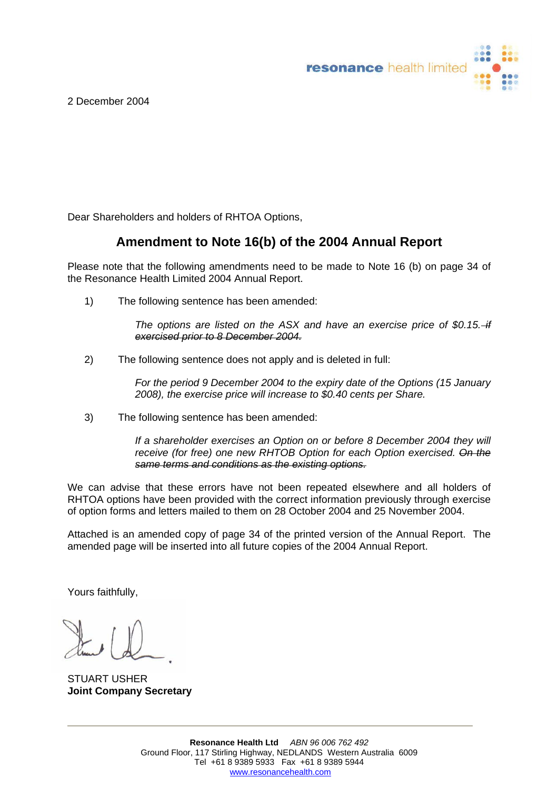resonance health limited

2 December 2004

Dear Shareholders and holders of RHTOA Options,

## **Amendment to Note 16(b) of the 2004 Annual Report**

Please note that the following amendments need to be made to Note 16 (b) on page 34 of the Resonance Health Limited 2004 Annual Report.

1) The following sentence has been amended:

*The options are listed on the ASX and have an exercise price of \$0.15. if exercised prior to 8 December 2004.*

2) The following sentence does not apply and is deleted in full:

*For the period 9 December 2004 to the expiry date of the Options (15 January 2008), the exercise price will increase to \$0.40 cents per Share.* 

3) The following sentence has been amended:

*If a shareholder exercises an Option on or before 8 December 2004 they will receive (for free) one new RHTOB Option for each Option exercised. On the same terms and conditions as the existing options.*

We can advise that these errors have not been repeated elsewhere and all holders of RHTOA options have been provided with the correct information previously through exercise of option forms and letters mailed to them on 28 October 2004 and 25 November 2004.

Attached is an amended copy of page 34 of the printed version of the Annual Report. The amended page will be inserted into all future copies of the 2004 Annual Report.

Yours faithfully,

STUART USHER **Joint Company Secretary**